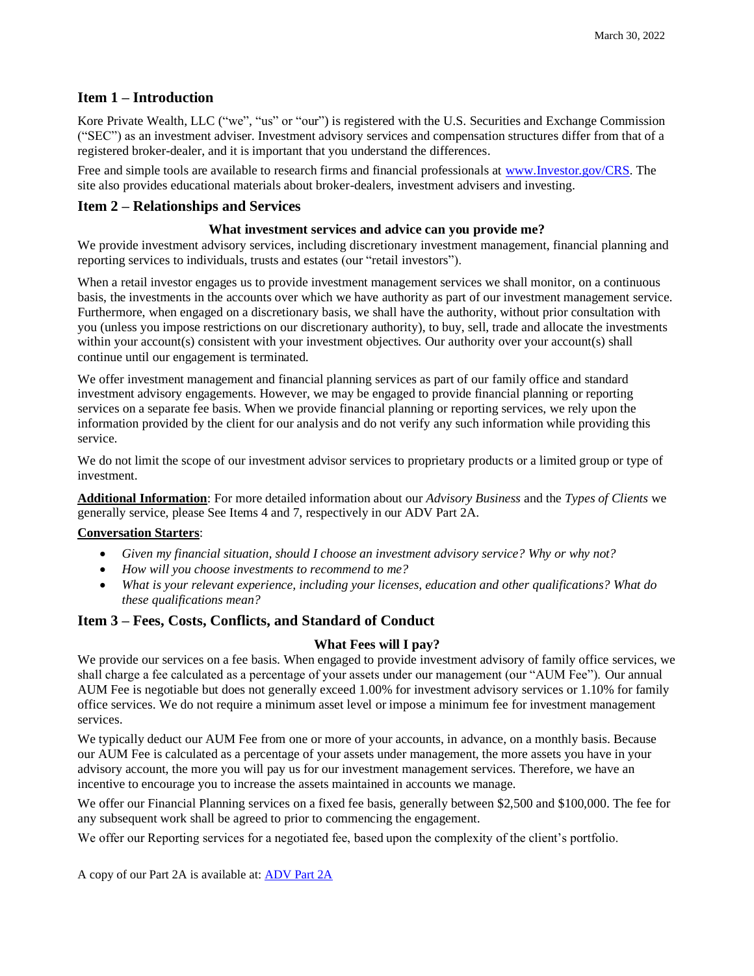## **Item 1 – Introduction**

Kore Private Wealth, LLC ("we", "us" or "our") is registered with the U.S. Securities and Exchange Commission ("SEC") as an investment adviser. Investment advisory services and compensation structures differ from that of a registered broker-dealer, and it is important that you understand the differences.

Free and simple tools are available to research firms and financial professionals at [www.Investor.gov/CRS.](http://www.investor.gov/CRS) The site also provides educational materials about broker-dealers, investment advisers and investing.

### **Item 2 – Relationships and Services**

#### **What investment services and advice can you provide me?**

We provide investment advisory services, including discretionary investment management, financial planning and reporting services to individuals, trusts and estates (our "retail investors").

When a retail investor engages us to provide investment management services we shall monitor, on a continuous basis, the investments in the accounts over which we have authority as part of our investment management service. Furthermore, when engaged on a discretionary basis, we shall have the authority, without prior consultation with you (unless you impose restrictions on our discretionary authority), to buy, sell, trade and allocate the investments within your account(s) consistent with your investment objectives. Our authority over your account(s) shall continue until our engagement is terminated.

We offer investment management and financial planning services as part of our family office and standard investment advisory engagements. However, we may be engaged to provide financial planning or reporting services on a separate fee basis. When we provide financial planning or reporting services, we rely upon the information provided by the client for our analysis and do not verify any such information while providing this service.

We do not limit the scope of our investment advisor services to proprietary products or a limited group or type of investment.

**Additional Information**: For more detailed information about our *Advisory Business* and the *Types of Clients* we generally service, please See Items 4 and 7, respectively in our ADV Part 2A.

#### **Conversation Starters**:

- *Given my financial situation, should I choose an investment advisory service? Why or why not?*
- *How will you choose investments to recommend to me?*
- *What is your relevant experience, including your licenses, education and other qualifications? What do these qualifications mean?*

### **Item 3 – Fees, Costs, Conflicts, and Standard of Conduct**

### **What Fees will I pay?**

We provide our services on a fee basis. When engaged to provide investment advisory of family office services, we shall charge a fee calculated as a percentage of your assets under our management (our "AUM Fee"). Our annual AUM Fee is negotiable but does not generally exceed 1.00% for investment advisory services or 1.10% for family office services. We do not require a minimum asset level or impose a minimum fee for investment management services.

We typically deduct our AUM Fee from one or more of your accounts, in advance, on a monthly basis. Because our AUM Fee is calculated as a percentage of your assets under management, the more assets you have in your advisory account, the more you will pay us for our investment management services. Therefore, we have an incentive to encourage you to increase the assets maintained in accounts we manage.

We offer our Financial Planning services on a fixed fee basis, generally between \$2,500 and \$100,000. The fee for any subsequent work shall be agreed to prior to commencing the engagement.

We offer our Reporting services for a negotiated fee, based upon the complexity of the client's portfolio.

A copy of our Part 2A is available at: **ADV Part 2A**